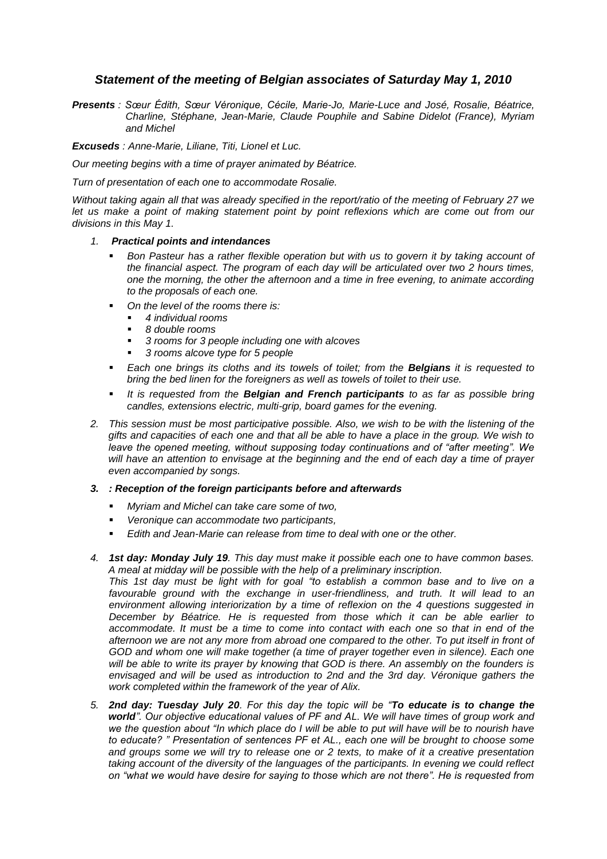## *Statement of the meeting of Belgian associates of Saturday May 1, 2010*

*Presents : Sœur Édith, Sœur Véronique, Cécile, Marie-Jo, Marie-Luce and José, Rosalie, Béatrice, Charline, Stéphane, Jean-Marie, Claude Pouphile and Sabine Didelot (France), Myriam and Michel*

*Excuseds : Anne-Marie, Liliane, Titi, Lionel et Luc.*

*Our meeting begins with a time of prayer animated by Béatrice.*

*Turn of presentation of each one to accommodate Rosalie.*

*Without taking again all that was already specified in the report/ratio of the meeting of February 27 we let us make a point of making statement point by point reflexions which are come out from our divisions in this May 1.*

## *1. Practical points and intendances*

- **Bon** Pasteur has a rather flexible operation but with us to govern it by taking account of *the financial aspect. The program of each day will be articulated over two 2 hours times, one the morning, the other the afternoon and a time in free evening, to animate according to the proposals of each one.*
- *On the level of the rooms there is:*
	- *4 individual rooms*
	- *8 double rooms*
	- *3 rooms for 3 people including one with alcoves*
	- *3 rooms alcove type for 5 people*
- *Each one brings its cloths and its towels of toilet; from the Belgians it is requested to bring the bed linen for the foreigners as well as towels of toilet to their use.*
- *It is requested from the Belgian and French participants to as far as possible bring candles, extensions electric, multi-grip, board games for the evening.*
- *2. This session must be most participative possible. Also, we wish to be with the listening of the gifts and capacities of each one and that all be able to have a place in the group. We wish to leave the opened meeting, without supposing today continuations and of "after meeting". We will have an attention to envisage at the beginning and the end of each day a time of prayer even accompanied by songs.*

## *3. : Reception of the foreign participants before and afterwards*

- *Myriam and Michel can take care some of two,*
- *Veronique can accommodate two participants,*
- *Edith and Jean-Marie can release from time to deal with one or the other.*
- *4. 1st day: Monday July 19. This day must make it possible each one to have common bases. A meal at midday will be possible with the help of a preliminary inscription.*

*This 1st day must be light with for goal "to establish a common base and to live on a*  favourable ground with the exchange in user-friendliness, and truth. It will lead to an *environment allowing interiorization by a time of reflexion on the 4 questions suggested in December by Béatrice. He is requested from those which it can be able earlier to accommodate. It must be a time to come into contact with each one so that in end of the afternoon we are not any more from abroad one compared to the other. To put itself in front of GOD and whom one will make together (a time of prayer together even in silence). Each one will be able to write its prayer by knowing that GOD is there. An assembly on the founders is envisaged and will be used as introduction to 2nd and the 3rd day. Véronique gathers the work completed within the framework of the year of Alix.*

*5. 2nd day: Tuesday July 20. For this day the topic will be "To educate is to change the world". Our objective educational values of PF and AL. We will have times of group work and we the question about "In which place do I will be able to put will have will be to nourish have to educate? " Presentation of sentences PF et AL., each one will be brought to choose some and groups some we will try to release one or 2 texts, to make of it a creative presentation taking account of the diversity of the languages of the participants. In evening we could reflect on "what we would have desire for saying to those which are not there". He is requested from*